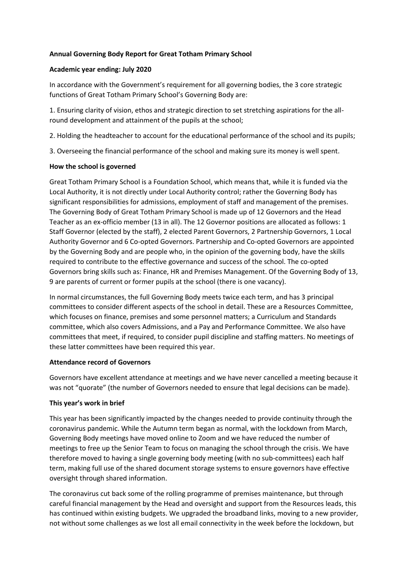## **Annual Governing Body Report for Great Totham Primary School**

#### **Academic year ending: July 2020**

In accordance with the Government's requirement for all governing bodies, the 3 core strategic functions of Great Totham Primary School's Governing Body are:

1. Ensuring clarity of vision, ethos and strategic direction to set stretching aspirations for the allround development and attainment of the pupils at the school;

2. Holding the headteacher to account for the educational performance of the school and its pupils;

3. Overseeing the financial performance of the school and making sure its money is well spent.

## **How the school is governed**

Great Totham Primary School is a Foundation School, which means that, while it is funded via the Local Authority, it is not directly under Local Authority control; rather the Governing Body has significant responsibilities for admissions, employment of staff and management of the premises. The Governing Body of Great Totham Primary School is made up of 12 Governors and the Head Teacher as an ex-officio member (13 in all). The 12 Governor positions are allocated as follows: 1 Staff Governor (elected by the staff), 2 elected Parent Governors, 2 Partnership Governors, 1 Local Authority Governor and 6 Co-opted Governors. Partnership and Co-opted Governors are appointed by the Governing Body and are people who, in the opinion of the governing body, have the skills required to contribute to the effective governance and success of the school. The co-opted Governors bring skills such as: Finance, HR and Premises Management. Of the Governing Body of 13, 9 are parents of current or former pupils at the school (there is one vacancy).

In normal circumstances, the full Governing Body meets twice each term, and has 3 principal committees to consider different aspects of the school in detail. These are a Resources Committee, which focuses on finance, premises and some personnel matters; a Curriculum and Standards committee, which also covers Admissions, and a Pay and Performance Committee. We also have committees that meet, if required, to consider pupil discipline and staffing matters. No meetings of these latter committees have been required this year.

#### **Attendance record of Governors**

Governors have excellent attendance at meetings and we have never cancelled a meeting because it was not "quorate" (the number of Governors needed to ensure that legal decisions can be made).

# **This year's work in brief**

This year has been significantly impacted by the changes needed to provide continuity through the coronavirus pandemic. While the Autumn term began as normal, with the lockdown from March, Governing Body meetings have moved online to Zoom and we have reduced the number of meetings to free up the Senior Team to focus on managing the school through the crisis. We have therefore moved to having a single governing body meeting (with no sub-committees) each half term, making full use of the shared document storage systems to ensure governors have effective oversight through shared information.

The coronavirus cut back some of the rolling programme of premises maintenance, but through careful financial management by the Head and oversight and support from the Resources leads, this has continued within existing budgets. We upgraded the broadband links, moving to a new provider, not without some challenges as we lost all email connectivity in the week before the lockdown, but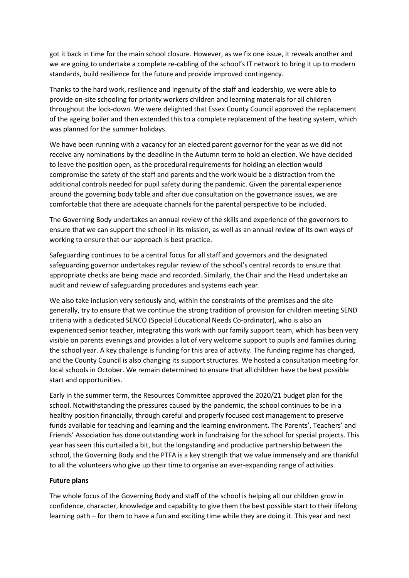got it back in time for the main school closure. However, as we fix one issue, it reveals another and we are going to undertake a complete re-cabling of the school's IT network to bring it up to modern standards, build resilience for the future and provide improved contingency.

Thanks to the hard work, resilience and ingenuity of the staff and leadership, we were able to provide on-site schooling for priority workers children and learning materials for all children throughout the lock-down. We were delighted that Essex County Council approved the replacement of the ageing boiler and then extended this to a complete replacement of the heating system, which was planned for the summer holidays.

We have been running with a vacancy for an elected parent governor for the year as we did not receive any nominations by the deadline in the Autumn term to hold an election. We have decided to leave the position open, as the procedural requirements for holding an election would compromise the safety of the staff and parents and the work would be a distraction from the additional controls needed for pupil safety during the pandemic. Given the parental experience around the governing body table and after due consultation on the governance issues, we are comfortable that there are adequate channels for the parental perspective to be included.

The Governing Body undertakes an annual review of the skills and experience of the governors to ensure that we can support the school in its mission, as well as an annual review of its own ways of working to ensure that our approach is best practice.

Safeguarding continues to be a central focus for all staff and governors and the designated safeguarding governor undertakes regular review of the school's central records to ensure that appropriate checks are being made and recorded. Similarly, the Chair and the Head undertake an audit and review of safeguarding procedures and systems each year.

We also take inclusion very seriously and, within the constraints of the premises and the site generally, try to ensure that we continue the strong tradition of provision for children meeting SEND criteria with a dedicated SENCO (Special Educational Needs Co-ordinator), who is also an experienced senior teacher, integrating this work with our family support team, which has been very visible on parents evenings and provides a lot of very welcome support to pupils and families during the school year. A key challenge is funding for this area of activity. The funding regime has changed, and the County Council is also changing its support structures. We hosted a consultation meeting for local schools in October. We remain determined to ensure that all children have the best possible start and opportunities.

Early in the summer term, the Resources Committee approved the 2020/21 budget plan for the school. Notwithstanding the pressures caused by the pandemic, the school continues to be in a healthy position financially, through careful and properly focused cost management to preserve funds available for teaching and learning and the learning environment. The Parents', Teachers' and Friends' Association has done outstanding work in fundraising for the school for special projects. This year has seen this curtailed a bit, but the longstanding and productive partnership between the school, the Governing Body and the PTFA is a key strength that we value immensely and are thankful to all the volunteers who give up their time to organise an ever-expanding range of activities.

#### **Future plans**

The whole focus of the Governing Body and staff of the school is helping all our children grow in confidence, character, knowledge and capability to give them the best possible start to their lifelong learning path – for them to have a fun and exciting time while they are doing it. This year and next